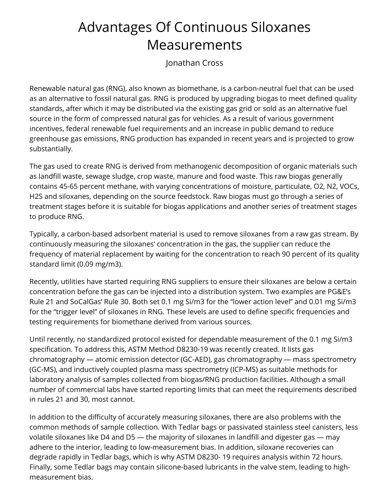## Advantages Of Continuous Siloxanes Measurements

Jonathan Cross

Renewable natural gas (RNG), also known as biomethane, is a carbon-neutral fuel that can be used as an alternative to fossil natural gas. RNG is produced by upgrading biogas to meet defined quality standards, after which it may be distributed via the existing gas grid or sold as an alternative fuel source in the form of compressed natural gas for vehicles. As a result of various government incentives, federal renewable fuel requirements and an increase in public demand to reduce greenhouse gas emissions, RNG production has expanded in recent years and is projected to grow substantially.

The gas used to create RNG is derived from methanogenic decomposition of organic materials such as landfill waste, sewage sludge, crop waste, manure and food waste. This raw biogas generally contains 45-65 percent methane, with varying concentrations of moisture, particulate, O2, N2, VOCs, H2S and siloxanes, depending on the source feedstock. Raw biogas must go through a series of treatment stages before it is suitable for biogas applications and another series of treatment stages to produce RNG.

Typically, a carbon-based adsorbent material is used to remove siloxanes from a raw gas stream. By continuously measuring the siloxanes' concentration in the gas, the supplier can reduce the frequency of material replacement by waiting for the concentration to reach 90 percent of its quality standard limit (0.09 mg/m3).

Recently, utilities have started requiring RNG suppliers to ensure their siloxanes are below a certain concentration before the gas can be injected into a distribution system. Two examples are PG&E's Rule 21 and SoCalGas' Rule 30. Both set 0.1 mg Si/m3 for the "lower action level" and 0.01 mg Si/m3 for the "trigger level" of siloxanes in RNG. These levels are used to define specific frequencies and testing requirements for biomethane derived from various sources.

Until recently, no standardized protocol existed for dependable measurement of the 0.1 mg Si/m3 specification. To address this, ASTM Method D8230-19 was recently created. It lists gas chromatography — atomic emission detector (GC-AED), gas chromatography — mass spectrometry (GC-MS), and inductively coupled plasma mass spectrometry (ICP-MS) as suitable methods for laboratory analysis of samples collected from biogas/RNG production facilities. Although a small number of commercial labs have started reporting limits that can meet the requirements described in rules 21 and 30, most cannot.

In addition to the difficulty of accurately measuring siloxanes, there are also problems with the common methods of sample collection. With Tedlar bags or passivated stainless steel canisters, less volatile siloxanes like D4 and D5 — the majority of siloxanes in landfill and digester gas — may adhere to the interior, leading to low-measurement bias. In addition, siloxane recoveries can degrade rapidly in Tedlar bags, which is why ASTM D8230- 19 requires analysis within 72 hours. Finally, some Tedlar bags may contain silicone-based lubricants in the valve stem, leading to highmeasurement bias.